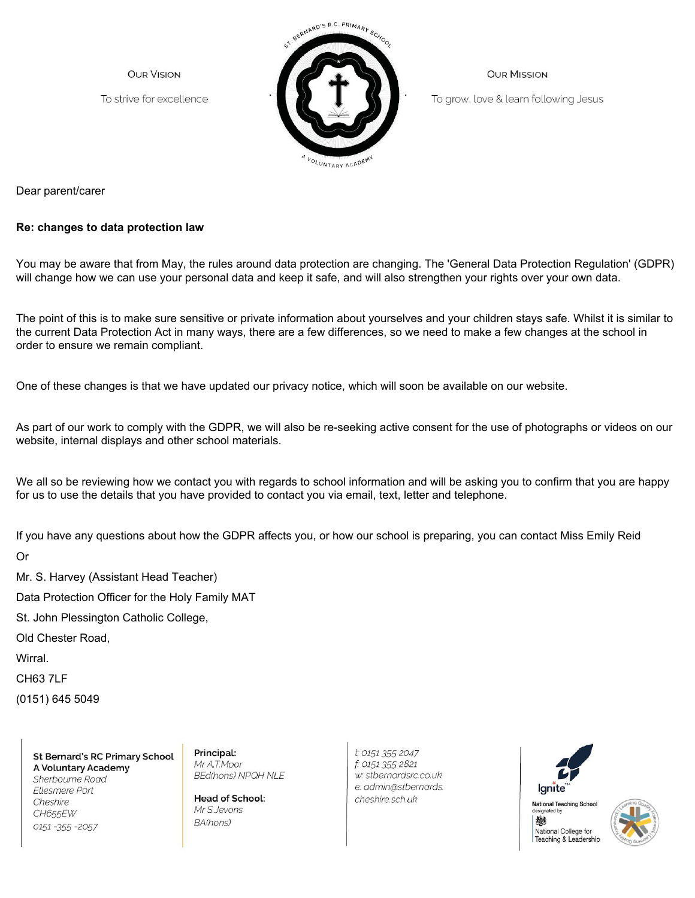**OUR VISION** 

To strive for excellence



**OUR MISSION** 

To grow, love & learn following Jesus

Dear parent/carer

## **Re: changes to data protection law**

You may be aware that from May, the rules around data protection are changing. The 'General Data Protection Regulation' (GDPR) will change how we can use your personal data and keep it safe, and will also strengthen your rights over your own data.

The point of this is to make sure sensitive or private information about yourselves and your children stays safe. Whilst it is similar to the current Data Protection Act in many ways, there are a few differences, so we need to make a few changes at the school in order to ensure we remain compliant.

One of these changes is that we have updated our privacy notice, which will soon be available on our website.

As part of our work to comply with the GDPR, we will also be re-seeking active consent for the use of photographs or videos on our website, internal displays and other school materials.

We all so be reviewing how we contact you with regards to school information and will be asking you to confirm that you are happy for us to use the details that you have provided to contact you via email, text, letter and telephone.

If you have any questions about how the GDPR affects you, or how our school is preparing, you can contact Miss Emily Reid

Or

Mr. S. Harvey (Assistant Head Teacher) Data Protection Officer for the Holy Family MAT St. John Plessington Catholic College, Old Chester Road, Wirral. CH63 7LF

(0151) 645 5049

**St Bernard's RC Primary School** A Voluntary Academy Sherbourne Road Ellesmere Port Cheshire CH655EW 0151 - 355 - 2057

Principal: Mr A.T.Moor **BEd(hons) NPQH NLE** 

**Head of School:** Mr S.Jevons BA(hons)

t: 0151 355 2047 f: 0151 355 2821 w: stbernardsrc.co.uk e: admin@stbernards. cheshire.sch.uk



signated by 戀 National College for Teaching & Leadership